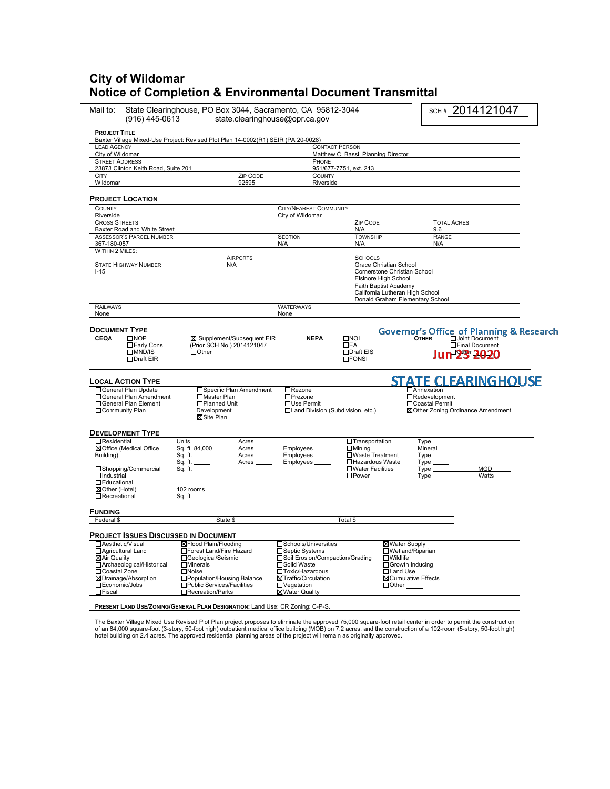# **City of Wildomar Notice of Completion & Environmental Document Transmittal**

| Mail to:<br>(916) 445-0613                                                                                                                                            | State Clearinghouse, PO Box 3044, Sacramento, CA 95812-3044<br>state.clearinghouse@opr.ca.gov                                                                                                         |                                                                                                                                                                            |                                                                                                                                      |                                                                                                                                                                               | SCH# 2014121047                   |  |
|-----------------------------------------------------------------------------------------------------------------------------------------------------------------------|-------------------------------------------------------------------------------------------------------------------------------------------------------------------------------------------------------|----------------------------------------------------------------------------------------------------------------------------------------------------------------------------|--------------------------------------------------------------------------------------------------------------------------------------|-------------------------------------------------------------------------------------------------------------------------------------------------------------------------------|-----------------------------------|--|
| <b>PROJECT TITLE</b>                                                                                                                                                  | Baxter Village Mixed-Use Project: Revised Plot Plan 14-0002(R1) SEIR (PA 20-0028)                                                                                                                     |                                                                                                                                                                            |                                                                                                                                      |                                                                                                                                                                               |                                   |  |
| <b>LEAD AGENCY</b>                                                                                                                                                    |                                                                                                                                                                                                       | <b>CONTACT PERSON</b>                                                                                                                                                      |                                                                                                                                      |                                                                                                                                                                               |                                   |  |
| City of Wildomar<br><b>STREET ADDRESS</b>                                                                                                                             |                                                                                                                                                                                                       | PHONE                                                                                                                                                                      | Matthew C. Bassi, Planning Director                                                                                                  |                                                                                                                                                                               |                                   |  |
| 23873 Clinton Keith Road, Suite 201                                                                                                                                   |                                                                                                                                                                                                       |                                                                                                                                                                            | 951/677-7751, ext. 213                                                                                                               |                                                                                                                                                                               |                                   |  |
| <b>CITY</b><br>Wildomar                                                                                                                                               | ZIP CODE<br>92595                                                                                                                                                                                     | <b>COUNTY</b><br>Riverside                                                                                                                                                 |                                                                                                                                      |                                                                                                                                                                               |                                   |  |
|                                                                                                                                                                       |                                                                                                                                                                                                       |                                                                                                                                                                            |                                                                                                                                      |                                                                                                                                                                               |                                   |  |
| <b>PROJECT LOCATION</b><br><b>COUNTY</b>                                                                                                                              |                                                                                                                                                                                                       | <b>CITY/NEAREST COMMUNITY</b>                                                                                                                                              |                                                                                                                                      |                                                                                                                                                                               |                                   |  |
| Riverside<br><b>CROSS STREETS</b>                                                                                                                                     |                                                                                                                                                                                                       | City of Wildomar                                                                                                                                                           | <b>ZIP CODE</b>                                                                                                                      |                                                                                                                                                                               | <b>TOTAL ACRES</b>                |  |
| Baxter Road and White Street                                                                                                                                          |                                                                                                                                                                                                       |                                                                                                                                                                            | N/A                                                                                                                                  | 9.6                                                                                                                                                                           |                                   |  |
| <b>ASSESSOR'S PARCEL NUMBER</b>                                                                                                                                       |                                                                                                                                                                                                       | <b>SECTION</b>                                                                                                                                                             | <b>TOWNSHIP</b>                                                                                                                      | RANGE                                                                                                                                                                         |                                   |  |
| 367-180-057<br><b>WITHIN 2 MILES:</b>                                                                                                                                 |                                                                                                                                                                                                       | N/A                                                                                                                                                                        | N/A                                                                                                                                  | N/A                                                                                                                                                                           |                                   |  |
| <b>STATE HIGHWAY NUMBER</b><br>$I-15$                                                                                                                                 | <b>AIRPORTS</b><br>N/A                                                                                                                                                                                |                                                                                                                                                                            | <b>SCHOOLS</b>                                                                                                                       | Grace Christian School<br>Cornerstone Christian School<br>Elsinore High School<br>Faith Baptist Academy<br>California Lutheran High School<br>Donald Graham Elementary School |                                   |  |
| RAILWAYS                                                                                                                                                              |                                                                                                                                                                                                       | <b>WATERWAYS</b>                                                                                                                                                           |                                                                                                                                      |                                                                                                                                                                               |                                   |  |
| None                                                                                                                                                                  |                                                                                                                                                                                                       | None                                                                                                                                                                       |                                                                                                                                      |                                                                                                                                                                               |                                   |  |
| <b>DOCUMENT TYPE</b>                                                                                                                                                  |                                                                                                                                                                                                       |                                                                                                                                                                            |                                                                                                                                      | <b>Governor's Office of Planning &amp; Research</b><br><b>CIANG BOOTHER</b>                                                                                                   |                                   |  |
| $\square$ NOP<br><b>CEQA</b><br>□Early Cons<br>LMND/IS<br>$D$ Draft EIR                                                                                               | ⊠ Supplement/Subsequent EIR<br>(Prior SCH No.) 2014121047<br>$\Box$ Other                                                                                                                             | <b>NEPA</b>                                                                                                                                                                | $\square$ NOI<br>$\Box$ EA<br>□Draft EIS<br>$\square$ FONSI                                                                          |                                                                                                                                                                               | Final Document<br>Jun 23 2020     |  |
| <b>LOCAL ACTION TYPE</b>                                                                                                                                              |                                                                                                                                                                                                       |                                                                                                                                                                            |                                                                                                                                      |                                                                                                                                                                               | <b>STATE CLEARINGHOUSE</b>        |  |
| □ General Plan Update<br>□General Plan Amendment<br>□General Plan Element<br>□Community Plan                                                                          | □ Specific Plan Amendment<br>□Master Plan<br>□Planned Unit<br>Development<br>⊠Site Plan                                                                                                               | $\Box$ Rezone<br>$\Box$ Prezone<br>□Use Permit<br>□Land Division (Subdivision, etc.)                                                                                       |                                                                                                                                      | <b>MAnnexation</b><br>□Redevelopment<br>□Coastal Permit                                                                                                                       | ⊠Other Zoning Ordinance Amendment |  |
| <b>DEVELOPMENT TYPE</b>                                                                                                                                               |                                                                                                                                                                                                       |                                                                                                                                                                            |                                                                                                                                      |                                                                                                                                                                               |                                   |  |
| $\Box$ Residential<br>⊠ Office (Medical Office<br>Building)<br>□Shopping/Commercial<br>$\Box$ Industrial<br><b>OEducational</b><br>⊠Other (Hotel)                     | Units<br>Acres<br>Sq. ft 84,000<br>Acres<br>Sq. ft.<br>Acres<br>Sq. ft.<br>Acres<br>Sq. ft.<br>102 rooms                                                                                              | Employees<br>Employees _____<br>Employees                                                                                                                                  | <b>Transportation</b><br>$\Box$ Mining<br><b>□Waste Treatment</b><br>□Hazardous Waste<br><b>□Water Facilities</b><br>$\square$ Power | <b>Type</b><br>Mineral<br>$Type \_\_$<br>$Type \_\_$<br>$Type \_\_$<br>Type                                                                                                   | <b>MGD</b><br>Watts               |  |
| Recreational                                                                                                                                                          | Sq. ft                                                                                                                                                                                                |                                                                                                                                                                            |                                                                                                                                      |                                                                                                                                                                               |                                   |  |
| <b>FUNDING</b>                                                                                                                                                        |                                                                                                                                                                                                       |                                                                                                                                                                            |                                                                                                                                      |                                                                                                                                                                               |                                   |  |
| Federal \$                                                                                                                                                            | State \$                                                                                                                                                                                              |                                                                                                                                                                            | Total \$                                                                                                                             |                                                                                                                                                                               |                                   |  |
| <b>PROJECT ISSUES DISCUSSED IN DOCUMENT</b>                                                                                                                           |                                                                                                                                                                                                       |                                                                                                                                                                            |                                                                                                                                      |                                                                                                                                                                               |                                   |  |
| □ Aesthetic/Visual<br>□ Agricultural Land<br>⊠Air Qualitv<br>□ Archaeological/Historical<br>□Coastal Zone<br>⊠Drainage/Absorption<br>□Economic/Jobs<br><b>OFiscal</b> | <b>⊠Flood Plain/Flooding</b><br>□Forest Land/Fire Hazard<br>□Geological/Seismic<br>$\Box$ Minerals<br>$\Box$ Noise<br>□Population/Housing Balance<br>□Public Services/Facilities<br>□Recreation/Parks | □Schools/Universities<br>□ Septic Systems<br>□Soil Erosion/Compaction/Grading<br>□Solid Waste<br>□Toxic/Hazardous<br>⊠Traffic/Circulation<br>□Vegetation<br>⊠Water Quality |                                                                                                                                      | ⊠Water Supply<br>□Wetland/Riparian<br>$\square$ Wildlife<br>□ Growth Inducing<br>□Land Use<br><b>⊠Cumulative Effects</b><br>$\Box$ Other                                      |                                   |  |
|                                                                                                                                                                       | PRESENT LAND USE/ZONING/GENERAL PLAN DESIGNATION: Land Use: CR Zoning: C-P-S.                                                                                                                         |                                                                                                                                                                            |                                                                                                                                      |                                                                                                                                                                               |                                   |  |

The Baxter Village Mixed Use Revised Plot Plan project proposes to eliminate the approved 75,000 square-foot retail center in order to permit the construction<br>of an 84,000 square-foot (3-story, 50-foot high) outpation for